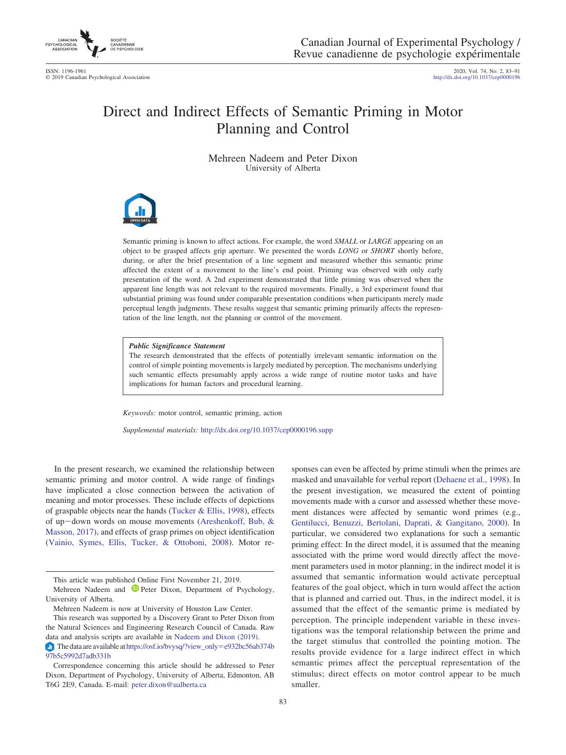

ISSN: 1196-1961 2020, Vol. 74, No. 2, 83–91 © 2019 Canadian Psychological Association http://dx.doi.org[/10.1037/cep0000196](http://dx.doi.org/10.1037/cep0000196)

# Direct and Indirect Effects of Semantic Priming in Motor Planning and Control

Mehreen Nadeem and Peter Dixon University of Alberta



Semantic priming is known to affect actions. For example, the word *SMALL* or *LARGE* appearing on an object to be grasped affects grip aperture. We presented the words *LONG* or *SHORT* shortly before, during, or after the brief presentation of a line segment and measured whether this semantic prime affected the extent of a movement to the line's end point. Priming was observed with only early presentation of the word. A 2nd experiment demonstrated that little priming was observed when the apparent line length was not relevant to the required movements. Finally, a 3rd experiment found that substantial priming was found under comparable presentation conditions when participants merely made perceptual length judgments. These results suggest that semantic priming primarily affects the representation of the line length, not the planning or control of the movement.

#### *Public Significance Statement*

The research demonstrated that the effects of potentially irrelevant semantic information on the control of simple pointing movements is largely mediated by perception. The mechanisms underlying such semantic effects presumably apply across a wide range of routine motor tasks and have implications for human factors and procedural learning.

*Keywords:* motor control, semantic priming, action

*Supplemental materials:* http://dx.doi.org[/10.1037/cep0000196.supp](http://dx.doi.org/10.1037/cep0000196.supp)

In the present research, we examined the relationship between semantic priming and motor control. A wide range of findings have implicated a close connection between the activation of meaning and motor processes. These include effects of depictions of graspable objects near the hands [\(Tucker & Ellis, 1998\)](#page-8-0), effects of up-down words on mouse movements [\(Areshenkoff, Bub, &](#page-7-0) [Masson, 2017\)](#page-7-0), and effects of grasp primes on object identification [\(Vainio, Symes, Ellis, Tucker, & Ottoboni, 2008\)](#page-8-1). Motor responses can even be affected by prime stimuli when the primes are masked and unavailable for verbal report [\(Dehaene et al., 1998\)](#page-7-1). In the present investigation, we measured the extent of pointing movements made with a cursor and assessed whether these movement distances were affected by semantic word primes (e.g., [Gentilucci, Benuzzi, Bertolani, Daprati, & Gangitano, 2000\)](#page-7-2). In particular, we considered two explanations for such a semantic priming effect: In the direct model, it is assumed that the meaning associated with the prime word would directly affect the movement parameters used in motor planning; in the indirect model it is assumed that semantic information would activate perceptual features of the goal object, which in turn would affect the action that is planned and carried out. Thus, in the indirect model, it is assumed that the effect of the semantic prime is mediated by perception. The principle independent variable in these investigations was the temporal relationship between the prime and the target stimulus that controlled the pointing motion. The results provide evidence for a large indirect effect in which semantic primes affect the perceptual representation of the stimulus; direct effects on motor control appear to be much smaller.

This article was published Online First November 21, 2019.

Mehreen Nadeem and <sup>D</sup> [Peter Dixon,](https://orcid.org/0000-0003-0748-3327) Department of Psychology, University of Alberta.

Mehreen Nadeem is now at University of Houston Law Center.

This research was supported by a Discovery Grant to Peter Dixon from the Natural Sciences and Engineering Research Council of Canada. Raw data and analysis scripts are available in [Nadeem and Dixon \(2019\).](#page-7-3)

 $\Box$  The data are available at [https://osf.io/bvysq/?view\\_only](http://osf.io/bvysq/?view_only=e932bc56ab374b97b5c5992d7adb331b)=e932bc56ab374b [97b5c5992d7adb331b](http://osf.io/bvysq/?view_only=e932bc56ab374b97b5c5992d7adb331b)

Correspondence concerning this article should be addressed to Peter Dixon, Department of Psychology, University of Alberta, Edmonton, AB T6G 2E9, Canada. E-mail: [peter.dixon@ualberta.ca](mailto:peter.dixon@ualberta.ca)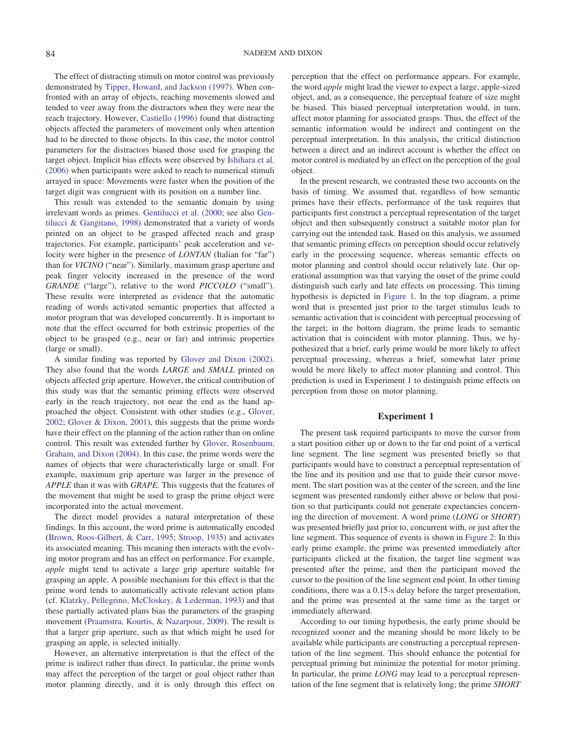The effect of distracting stimuli on motor control was previously demonstrated by [Tipper, Howard, and Jackson \(1997\).](#page-8-2) When confronted with an array of objects, reaching movements slowed and tended to veer away from the distractors when they were near the reach trajectory. However, [Castiello \(1996\)](#page-7-4) found that distracting objects affected the parameters of movement only when attention had to be directed to those objects. In this case, the motor control parameters for the distractors biased those used for grasping the target object. Implicit bias effects were observed by [Ishihara et al.](#page-7-5) [\(2006\)](#page-7-5) when participants were asked to reach to numerical stimuli arrayed in space: Movements were faster when the position of the target digit was congruent with its position on a number line.

This result was extended to the semantic domain by using irrelevant words as primes. [Gentilucci et al. \(2000;](#page-7-2) see also [Gen](#page-7-6)[tilucci & Gangitano, 1998\)](#page-7-6) demonstrated that a variety of words printed on an object to be grasped affected reach and grasp trajectories. For example, participants' peak acceleration and velocity were higher in the presence of *LONTAN* (Italian for "far") than for *VICINO* ("near"). Similarly, maximum grasp aperture and peak finger velocity increased in the presence of the word *GRANDE* ("large"), relative to the word *PICCOLO* ("small"). These results were interpreted as evidence that the automatic reading of words activated semantic properties that affected a motor program that was developed concurrently. It is important to note that the effect occurred for both extrinsic properties of the object to be grasped (e.g., near or far) and intrinsic properties (large or small).

A similar finding was reported by [Glover and Dixon \(2002\).](#page-7-7) They also found that the words *LARGE* and *SMALL* printed on objects affected grip aperture. However, the critical contribution of this study was that the semantic priming effects were observed early in the reach trajectory, not near the end as the hand approached the object. Consistent with other studies (e.g., [Glover,](#page-7-8) [2002;](#page-7-8) [Glover & Dixon, 2001\)](#page-7-9), this suggests that the prime words have their effect on the planning of the action rather than on online control. This result was extended further by [Glover, Rosenbaum,](#page-7-10) [Graham, and Dixon \(2004\).](#page-7-10) In this case, the prime words were the names of objects that were characteristically large or small. For example, maximum grip aperture was larger in the presence of *APPLE* than it was with *GRAPE.* This suggests that the features of the movement that might be used to grasp the prime object were incorporated into the actual movement.

The direct model provides a natural interpretation of these findings. In this account, the word prime is automatically encoded [\(Brown, Roos-Gilbert, & Carr, 1995;](#page-7-11) [Stroop, 1935\)](#page-8-3) and activates its associated meaning. This meaning then interacts with the evolving motor program and has an effect on performance. For example, *apple* might tend to activate a large grip aperture suitable for grasping an apple. A possible mechanism for this effect is that the prime word tends to automatically activate relevant action plans (cf. [Klatzky, Pellegrino, McCloskey, & Lederman, 1993\)](#page-7-12) and that these partially activated plans bias the parameters of the grasping movement [\(Praamstra, Kourtis, & Nazarpour, 2009\)](#page-7-13). The result is that a larger grip aperture, such as that which might be used for grasping an apple, is selected initially.

However, an alternative interpretation is that the effect of the prime is indirect rather than direct. In particular, the prime words may affect the perception of the target or goal object rather than motor planning directly, and it is only through this effect on perception that the effect on performance appears. For example, the word *apple* might lead the viewer to expect a large, apple-sized object, and, as a consequence, the perceptual feature of size might be biased. This biased perceptual interpretation would, in turn, affect motor planning for associated grasps. Thus, the effect of the semantic information would be indirect and contingent on the perceptual interpretation. In this analysis, the critical distinction between a direct and an indirect account is whether the effect on motor control is mediated by an effect on the perception of the goal object.

In the present research, we contrasted these two accounts on the basis of timing. We assumed that, regardless of how semantic primes have their effects, performance of the task requires that participants first construct a perceptual representation of the target object and then subsequently construct a suitable motor plan for carrying out the intended task. Based on this analysis, we assumed that semantic priming effects on perception should occur relatively early in the processing sequence, whereas semantic effects on motor planning and control should occur relatively late. Our operational assumption was that varying the onset of the prime could distinguish such early and late effects on processing. This timing hypothesis is depicted in [Figure 1.](#page-2-0) In the top diagram, a prime word that is presented just prior to the target stimulus leads to semantic activation that is coincident with perceptual processing of the target; in the bottom diagram, the prime leads to semantic activation that is coincident with motor planning. Thus, we hypothesized that a brief, early prime would be more likely to affect perceptual processing, whereas a brief, somewhat later prime would be more likely to affect motor planning and control. This prediction is used in Experiment 1 to distinguish prime effects on perception from those on motor planning.

## **Experiment 1**

The present task required participants to move the cursor from a start position either up or down to the far end point of a vertical line segment. The line segment was presented briefly so that participants would have to construct a perceptual representation of the line and its position and use that to guide their cursor movement. The start position was at the center of the screen, and the line segment was presented randomly either above or below that position so that participants could not generate expectancies concerning the direction of movement. A word prime (*LONG* or *SHORT*) was presented briefly just prior to, concurrent with, or just after the line segment. This sequence of events is shown in [Figure 2:](#page-3-0) In this early prime example, the prime was presented immediately after participants clicked at the fixation, the target line segment was presented after the prime, and then the participant moved the cursor to the position of the line segment end point. In other timing conditions, there was a 0.15-s delay before the target presentation, and the prime was presented at the same time as the target or immediately afterward.

According to our timing hypothesis, the early prime should be recognized sooner and the meaning should be more likely to be available while participants are constructing a perceptual representation of the line segment. This should enhance the potential for perceptual priming but minimize the potential for motor priming. In particular, the prime *LONG* may lead to a perceptual representation of the line segment that is relatively long; the prime *SHORT*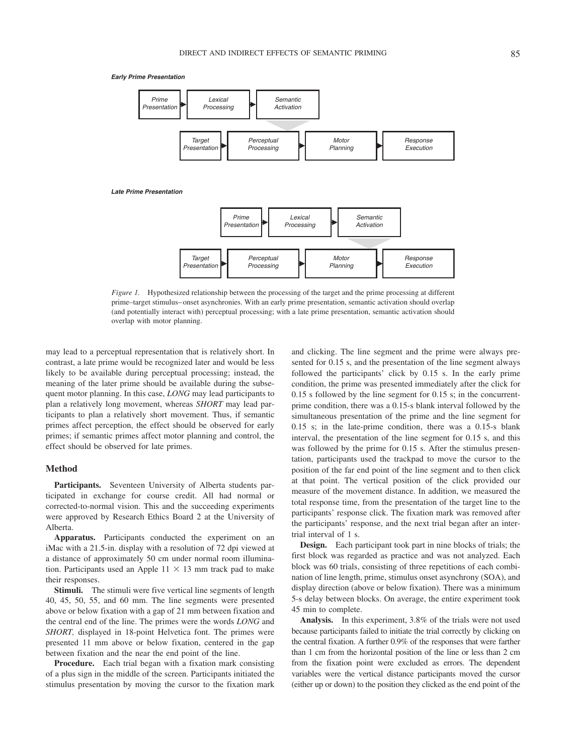*Early Prime Presentation*



<span id="page-2-0"></span>*Figure 1.* Hypothesized relationship between the processing of the target and the prime processing at different prime–target stimulus– onset asynchronies. With an early prime presentation, semantic activation should overlap (and potentially interact with) perceptual processing; with a late prime presentation, semantic activation should overlap with motor planning.

may lead to a perceptual representation that is relatively short. In contrast, a late prime would be recognized later and would be less likely to be available during perceptual processing; instead, the meaning of the later prime should be available during the subsequent motor planning. In this case, *LONG* may lead participants to plan a relatively long movement, whereas *SHORT* may lead participants to plan a relatively short movement. Thus, if semantic primes affect perception, the effect should be observed for early primes; if semantic primes affect motor planning and control, the effect should be observed for late primes.

# **Method**

Participants. Seventeen University of Alberta students participated in exchange for course credit. All had normal or corrected-to-normal vision. This and the succeeding experiments were approved by Research Ethics Board 2 at the University of Alberta.

**Apparatus.** Participants conducted the experiment on an iMac with a 21.5-in. display with a resolution of 72 dpi viewed at a distance of approximately 50 cm under normal room illumination. Participants used an Apple  $11 \times 13$  mm track pad to make their responses.

**Stimuli.** The stimuli were five vertical line segments of length 40, 45, 50, 55, and 60 mm. The line segments were presented above or below fixation with a gap of 21 mm between fixation and the central end of the line. The primes were the words *LONG* and *SHORT,* displayed in 18-point Helvetica font. The primes were presented 11 mm above or below fixation, centered in the gap between fixation and the near the end point of the line.

**Procedure.** Each trial began with a fixation mark consisting of a plus sign in the middle of the screen. Participants initiated the stimulus presentation by moving the cursor to the fixation mark

and clicking. The line segment and the prime were always presented for 0.15 s, and the presentation of the line segment always followed the participants' click by 0.15 s. In the early prime condition, the prime was presented immediately after the click for 0.15 s followed by the line segment for 0.15 s; in the concurrentprime condition, there was a 0.15-s blank interval followed by the simultaneous presentation of the prime and the line segment for 0.15 s; in the late-prime condition, there was a 0.15-s blank interval, the presentation of the line segment for 0.15 s, and this was followed by the prime for 0.15 s. After the stimulus presentation, participants used the trackpad to move the cursor to the position of the far end point of the line segment and to then click at that point. The vertical position of the click provided our measure of the movement distance. In addition, we measured the total response time, from the presentation of the target line to the participants' response click. The fixation mark was removed after the participants' response, and the next trial began after an intertrial interval of 1 s.

**Design.** Each participant took part in nine blocks of trials; the first block was regarded as practice and was not analyzed. Each block was 60 trials, consisting of three repetitions of each combination of line length, prime, stimulus onset asynchrony (SOA), and display direction (above or below fixation). There was a minimum 5-s delay between blocks. On average, the entire experiment took 45 min to complete.

**Analysis.** In this experiment, 3.8% of the trials were not used because participants failed to initiate the trial correctly by clicking on the central fixation. A further 0.9% of the responses that were farther than 1 cm from the horizontal position of the line or less than 2 cm from the fixation point were excluded as errors. The dependent variables were the vertical distance participants moved the cursor (either up or down) to the position they clicked as the end point of the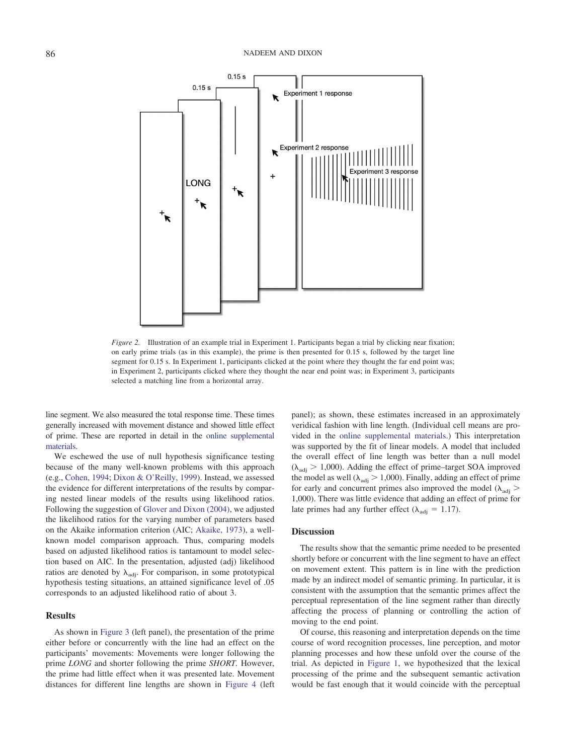

<span id="page-3-0"></span>*Figure 2.* Illustration of an example trial in Experiment 1. Participants began a trial by clicking near fixation; on early prime trials (as in this example), the prime is then presented for 0.15 s, followed by the target line segment for 0.15 s. In Experiment 1, participants clicked at the point where they thought the far end point was; in Experiment 2, participants clicked where they thought the near end point was; in Experiment 3, participants selected a matching line from a horizontal array.

line segment. We also measured the total response time. These times generally increased with movement distance and showed little effect of prime. These are reported in detail in the [online supplemental](http://dx.doi.org/10.1037/cep0000196.supp) [materials.](http://dx.doi.org/10.1037/cep0000196.supp)

We eschewed the use of null hypothesis significance testing because of the many well-known problems with this approach (e.g., [Cohen, 1994;](#page-7-14) [Dixon & O'Reilly, 1999\)](#page-7-15). Instead, we assessed the evidence for different interpretations of the results by comparing nested linear models of the results using likelihood ratios. Following the suggestion of [Glover and Dixon \(2004\),](#page-7-16) we adjusted the likelihood ratios for the varying number of parameters based on the Akaike information criterion (AIC; [Akaike, 1973\)](#page-7-17), a wellknown model comparison approach. Thus, comparing models based on adjusted likelihood ratios is tantamount to model selection based on AIC. In the presentation, adjusted (adj) likelihood ratios are denoted by  $\lambda_{\text{adj}}$ . For comparison, in some prototypical hypothesis testing situations, an attained significance level of .05 corresponds to an adjusted likelihood ratio of about 3.

#### **Results**

As shown in [Figure 3](#page-4-0) (left panel), the presentation of the prime either before or concurrently with the line had an effect on the participants' movements: Movements were longer following the prime *LONG* and shorter following the prime *SHORT.* However, the prime had little effect when it was presented late. Movement distances for different line lengths are shown in [Figure 4](#page-5-0) (left

panel); as shown, these estimates increased in an approximately veridical fashion with line length. (Individual cell means are provided in the [online supplemental materials.](http://dx.doi.org/10.1037/cep0000196.supp)) This interpretation was supported by the fit of linear models. A model that included the overall effect of line length was better than a null model  $(\lambda_{\text{adi}} > 1,000)$ . Adding the effect of prime–target SOA improved the model as well ( $\lambda_{\text{adj}} > 1,000$ ). Finally, adding an effect of prime for early and concurrent primes also improved the model  $(\lambda_{\text{adj}})$ 1,000). There was little evidence that adding an effect of prime for late primes had any further effect ( $\lambda_{\text{adj}} = 1.17$ ).

### **Discussion**

The results show that the semantic prime needed to be presented shortly before or concurrent with the line segment to have an effect on movement extent. This pattern is in line with the prediction made by an indirect model of semantic priming. In particular, it is consistent with the assumption that the semantic primes affect the perceptual representation of the line segment rather than directly affecting the process of planning or controlling the action of moving to the end point.

Of course, this reasoning and interpretation depends on the time course of word recognition processes, line perception, and motor planning processes and how these unfold over the course of the trial. As depicted in [Figure 1,](#page-2-0) we hypothesized that the lexical processing of the prime and the subsequent semantic activation would be fast enough that it would coincide with the perceptual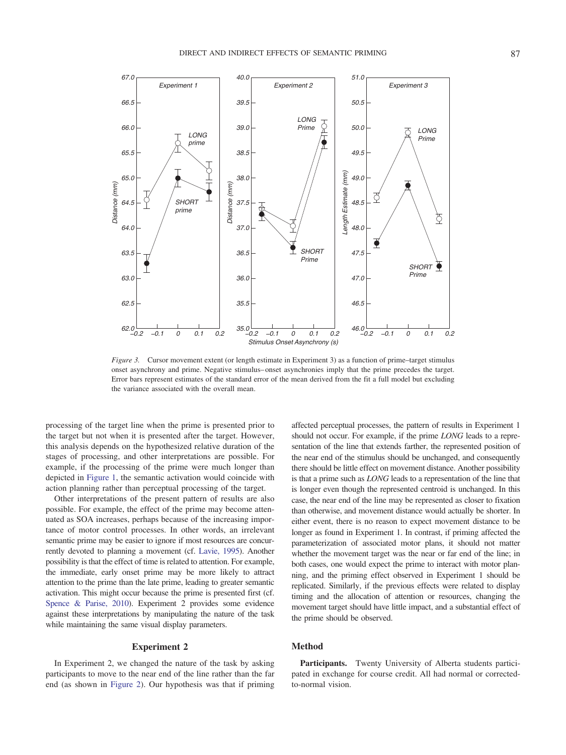

<span id="page-4-0"></span>*Figure 3.* Cursor movement extent (or length estimate in Experiment 3) as a function of prime–target stimulus onset asynchrony and prime. Negative stimulus– onset asynchronies imply that the prime precedes the target. Error bars represent estimates of the standard error of the mean derived from the fit a full model but excluding the variance associated with the overall mean.

processing of the target line when the prime is presented prior to the target but not when it is presented after the target. However, this analysis depends on the hypothesized relative duration of the stages of processing, and other interpretations are possible. For example, if the processing of the prime were much longer than depicted in [Figure 1,](#page-2-0) the semantic activation would coincide with action planning rather than perceptual processing of the target.

Other interpretations of the present pattern of results are also possible. For example, the effect of the prime may become attenuated as SOA increases, perhaps because of the increasing importance of motor control processes. In other words, an irrelevant semantic prime may be easier to ignore if most resources are concurrently devoted to planning a movement (cf. [Lavie, 1995\)](#page-7-18). Another possibility is that the effect of time is related to attention. For example, the immediate, early onset prime may be more likely to attract attention to the prime than the late prime, leading to greater semantic activation. This might occur because the prime is presented first (cf. [Spence & Parise, 2010\)](#page-8-4). Experiment 2 provides some evidence against these interpretations by manipulating the nature of the task while maintaining the same visual display parameters.

## **Experiment 2**

In Experiment 2, we changed the nature of the task by asking participants to move to the near end of the line rather than the far end (as shown in [Figure 2\)](#page-3-0). Our hypothesis was that if priming affected perceptual processes, the pattern of results in Experiment 1 should not occur. For example, if the prime *LONG* leads to a representation of the line that extends farther, the represented position of the near end of the stimulus should be unchanged, and consequently there should be little effect on movement distance. Another possibility is that a prime such as *LONG* leads to a representation of the line that is longer even though the represented centroid is unchanged. In this case, the near end of the line may be represented as closer to fixation than otherwise, and movement distance would actually be shorter. In either event, there is no reason to expect movement distance to be longer as found in Experiment 1. In contrast, if priming affected the parameterization of associated motor plans, it should not matter whether the movement target was the near or far end of the line; in both cases, one would expect the prime to interact with motor planning, and the priming effect observed in Experiment 1 should be replicated. Similarly, if the previous effects were related to display timing and the allocation of attention or resources, changing the movement target should have little impact, and a substantial effect of the prime should be observed.

## **Method**

**Participants.** Twenty University of Alberta students participated in exchange for course credit. All had normal or correctedto-normal vision.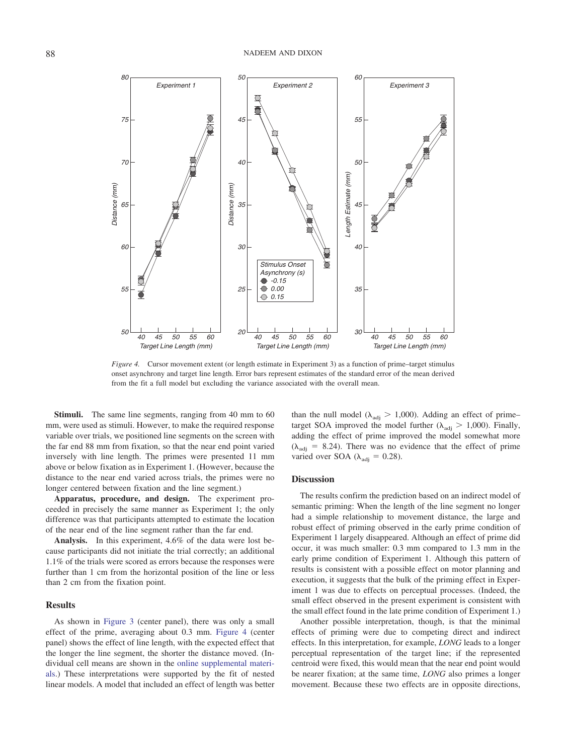*80 50 60 Experiment 1 Experiment 2 Experiment 3 75 45 55 70 40 50 Length Estimate (mm)* ength Estimate (mm Distance (mm) *Distance (mm) Distance (mm)* Distance (mm) *35 65 45 30 60 40 Stimulus Onset Asynchrony (s) -0.15 55 25 0.00 35 0.15 50 20 30 40 45 50 55 60 40 45 50 55 60 40 45 50 55 60 Target Line Length (mm) Target Line Length (mm) Target Line Length (mm)*

<span id="page-5-0"></span>*Figure 4.* Cursor movement extent (or length estimate in Experiment 3) as a function of prime–target stimulus onset asynchrony and target line length. Error bars represent estimates of the standard error of the mean derived from the fit a full model but excluding the variance associated with the overall mean.

**Stimuli.** The same line segments, ranging from 40 mm to 60 mm, were used as stimuli. However, to make the required response variable over trials, we positioned line segments on the screen with the far end 88 mm from fixation, so that the near end point varied inversely with line length. The primes were presented 11 mm above or below fixation as in Experiment 1. (However, because the distance to the near end varied across trials, the primes were no longer centered between fixation and the line segment.)

**Apparatus, procedure, and design.** The experiment proceeded in precisely the same manner as Experiment 1; the only difference was that participants attempted to estimate the location of the near end of the line segment rather than the far end.

**Analysis.** In this experiment, 4.6% of the data were lost because participants did not initiate the trial correctly; an additional 1.1% of the trials were scored as errors because the responses were further than 1 cm from the horizontal position of the line or less than 2 cm from the fixation point.

#### **Results**

As shown in [Figure 3](#page-4-0) (center panel), there was only a small effect of the prime, averaging about 0.3 mm. [Figure 4](#page-5-0) (center panel) shows the effect of line length, with the expected effect that the longer the line segment, the shorter the distance moved. (Individual cell means are shown in the [online supplemental materi](http://dx.doi.org/10.1037/cep0000196.supp)[als.](http://dx.doi.org/10.1037/cep0000196.supp)) These interpretations were supported by the fit of nested linear models. A model that included an effect of length was better than the null model ( $\lambda_{\text{adj}} > 1,000$ ). Adding an effect of prime– target SOA improved the model further ( $\lambda_{\text{adj}} > 1,000$ ). Finally, adding the effect of prime improved the model somewhat more  $(\lambda_{\text{adj}} = 8.24)$ . There was no evidence that the effect of prime varied over SOA ( $\lambda_{\text{adi}} = 0.28$ ).

# **Discussion**

The results confirm the prediction based on an indirect model of semantic priming: When the length of the line segment no longer had a simple relationship to movement distance, the large and robust effect of priming observed in the early prime condition of Experiment 1 largely disappeared. Although an effect of prime did occur, it was much smaller: 0.3 mm compared to 1.3 mm in the early prime condition of Experiment 1. Although this pattern of results is consistent with a possible effect on motor planning and execution, it suggests that the bulk of the priming effect in Experiment 1 was due to effects on perceptual processes. (Indeed, the small effect observed in the present experiment is consistent with the small effect found in the late prime condition of Experiment 1.)

Another possible interpretation, though, is that the minimal effects of priming were due to competing direct and indirect effects. In this interpretation, for example, *LONG* leads to a longer perceptual representation of the target line; if the represented centroid were fixed, this would mean that the near end point would be nearer fixation; at the same time, *LONG* also primes a longer movement. Because these two effects are in opposite directions,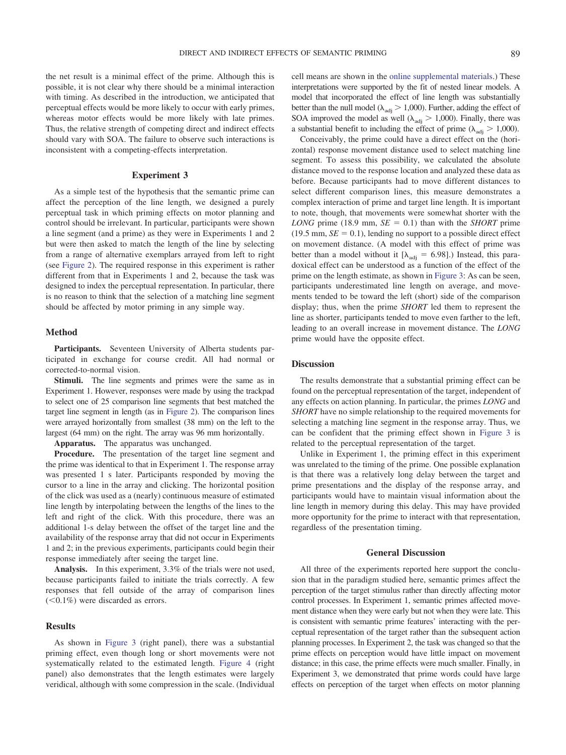the net result is a minimal effect of the prime. Although this is possible, it is not clear why there should be a minimal interaction with timing. As described in the introduction, we anticipated that perceptual effects would be more likely to occur with early primes, whereas motor effects would be more likely with late primes. Thus, the relative strength of competing direct and indirect effects should vary with SOA. The failure to observe such interactions is inconsistent with a competing-effects interpretation.

#### **Experiment 3**

As a simple test of the hypothesis that the semantic prime can affect the perception of the line length, we designed a purely perceptual task in which priming effects on motor planning and control should be irrelevant. In particular, participants were shown a line segment (and a prime) as they were in Experiments 1 and 2 but were then asked to match the length of the line by selecting from a range of alternative exemplars arrayed from left to right (see [Figure 2\)](#page-3-0). The required response in this experiment is rather different from that in Experiments 1 and 2, because the task was designed to index the perceptual representation. In particular, there is no reason to think that the selection of a matching line segment should be affected by motor priming in any simple way.

## **Method**

**Participants.** Seventeen University of Alberta students participated in exchange for course credit. All had normal or corrected-to-normal vision.

**Stimuli.** The line segments and primes were the same as in Experiment 1. However, responses were made by using the trackpad to select one of 25 comparison line segments that best matched the target line segment in length (as in [Figure 2\)](#page-3-0). The comparison lines were arrayed horizontally from smallest (38 mm) on the left to the largest (64 mm) on the right. The array was 96 mm horizontally.

**Apparatus.** The apparatus was unchanged.

**Procedure.** The presentation of the target line segment and the prime was identical to that in Experiment 1. The response array was presented 1 s later. Participants responded by moving the cursor to a line in the array and clicking. The horizontal position of the click was used as a (nearly) continuous measure of estimated line length by interpolating between the lengths of the lines to the left and right of the click. With this procedure, there was an additional 1-s delay between the offset of the target line and the availability of the response array that did not occur in Experiments 1 and 2; in the previous experiments, participants could begin their response immediately after seeing the target line.

**Analysis.** In this experiment, 3.3% of the trials were not used, because participants failed to initiate the trials correctly. A few responses that fell outside of the array of comparison lines  $(<0.1\%)$  were discarded as errors.

#### **Results**

As shown in [Figure 3](#page-4-0) (right panel), there was a substantial priming effect, even though long or short movements were not systematically related to the estimated length. [Figure 4](#page-5-0) (right panel) also demonstrates that the length estimates were largely veridical, although with some compression in the scale. (Individual

cell means are shown in the [online supplemental materials.](http://dx.doi.org/10.1037/cep0000196.supp)) These interpretations were supported by the fit of nested linear models. A model that incorporated the effect of line length was substantially better than the null model ( $\lambda_{\text{adj}} > 1,000$ ). Further, adding the effect of SOA improved the model as well ( $\lambda_{\text{adj}} > 1,000$ ). Finally, there was a substantial benefit to including the effect of prime ( $\lambda_{\text{adj}} > 1,000$ ).

Conceivably, the prime could have a direct effect on the (horizontal) response movement distance used to select matching line segment. To assess this possibility, we calculated the absolute distance moved to the response location and analyzed these data as before. Because participants had to move different distances to select different comparison lines, this measure demonstrates a complex interaction of prime and target line length. It is important to note, though, that movements were somewhat shorter with the *LONG* prime (18.9 mm,  $SE = 0.1$ ) than with the *SHORT* prime  $(19.5 \text{ mm}, \text{SE} = 0.1)$ , lending no support to a possible direct effect on movement distance. (A model with this effect of prime was better than a model without it  $[\lambda_{\text{adj}} = 6.98]$ .) Instead, this paradoxical effect can be understood as a function of the effect of the prime on the length estimate, as shown in [Figure 3:](#page-4-0) As can be seen, participants underestimated line length on average, and movements tended to be toward the left (short) side of the comparison display; thus, when the prime *SHORT* led them to represent the line as shorter, participants tended to move even farther to the left, leading to an overall increase in movement distance. The *LONG* prime would have the opposite effect.

## **Discussion**

The results demonstrate that a substantial priming effect can be found on the perceptual representation of the target, independent of any effects on action planning. In particular, the primes *LONG* and *SHORT* have no simple relationship to the required movements for selecting a matching line segment in the response array. Thus, we can be confident that the priming effect shown in [Figure 3](#page-4-0) is related to the perceptual representation of the target.

Unlike in Experiment 1, the priming effect in this experiment was unrelated to the timing of the prime. One possible explanation is that there was a relatively long delay between the target and prime presentations and the display of the response array, and participants would have to maintain visual information about the line length in memory during this delay. This may have provided more opportunity for the prime to interact with that representation, regardless of the presentation timing.

# **General Discussion**

All three of the experiments reported here support the conclusion that in the paradigm studied here, semantic primes affect the perception of the target stimulus rather than directly affecting motor control processes. In Experiment 1, semantic primes affected movement distance when they were early but not when they were late. This is consistent with semantic prime features' interacting with the perceptual representation of the target rather than the subsequent action planning processes. In Experiment 2, the task was changed so that the prime effects on perception would have little impact on movement distance; in this case, the prime effects were much smaller. Finally, in Experiment 3, we demonstrated that prime words could have large effects on perception of the target when effects on motor planning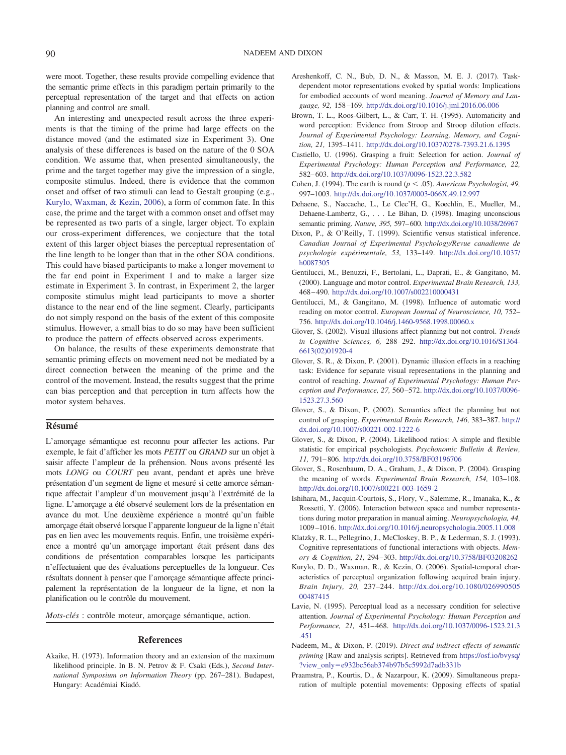were moot. Together, these results provide compelling evidence that the semantic prime effects in this paradigm pertain primarily to the perceptual representation of the target and that effects on action planning and control are small.

An interesting and unexpected result across the three experiments is that the timing of the prime had large effects on the distance moved (and the estimated size in Experiment 3). One analysis of these differences is based on the nature of the 0 SOA condition. We assume that, when presented simultaneously, the prime and the target together may give the impression of a single, composite stimulus. Indeed, there is evidence that the common onset and offset of two stimuli can lead to Gestalt grouping (e.g., [Kurylo, Waxman, & Kezin, 2006\)](#page-7-19), a form of common fate. In this case, the prime and the target with a common onset and offset may be represented as two parts of a single, larger object. To explain our cross-experiment differences, we conjecture that the total extent of this larger object biases the perceptual representation of the line length to be longer than that in the other SOA conditions. This could have biased participants to make a longer movement to the far end point in Experiment 1 and to make a larger size estimate in Experiment 3. In contrast, in Experiment 2, the larger composite stimulus might lead participants to move a shorter distance to the near end of the line segment. Clearly, participants do not simply respond on the basis of the extent of this composite stimulus. However, a small bias to do so may have been sufficient to produce the pattern of effects observed across experiments.

On balance, the results of these experiments demonstrate that semantic priming effects on movement need not be mediated by a direct connection between the meaning of the prime and the control of the movement. Instead, the results suggest that the prime can bias perception and that perception in turn affects how the motor system behaves.

# **Résumé**

L'amorçage sémantique est reconnu pour affecter les actions. Par exemple, le fait d'afficher les mots *PETIT* ou *GRAND* sur un objet a` saisir affecte l'ampleur de la préhension. Nous avons présenté les mots *LONG* ou *COURT* peu avant, pendant et après une brève présentation d'un segment de ligne et mesuré si cette amorce sémantique affectait l'ampleur d'un mouvement jusqu'a` l'extrémité de la ligne. L'amorçage a été observé seulement lors de la présentation en avance du mot. Une deuxième expérience a montré qu'un faible amorçage était observé lorsque l'apparente longueur de la ligne n'était pas en lien avec les mouvements requis. Enfin, une troisième expérience a montré qu'un amorçage important était présent dans des conditions de présentation comparables lorsque les participants n'effectuaient que des évaluations perceptuelles de la longueur. Ces résultats donnent à penser que l'amorçage sémantique affecte principalement la représentation de la longueur de la ligne, et non la planification ou le contrôle du mouvement.

*Mots-clés* : contrôle moteur, amorçage sémantique, action.

# **References**

<span id="page-7-17"></span>Akaike, H. (1973). Information theory and an extension of the maximum likelihood principle. In B. N. Petrov & F. Csaki (Eds.), *Second International Symposium on Information Theory* (pp. 267–281). Budapest, Hungary: Académiai Kiadó.

- <span id="page-7-0"></span>Areshenkoff, C. N., Bub, D. N., & Masson, M. E. J. (2017). Taskdependent motor representations evoked by spatial words: Implications for embodied accounts of word meaning. *Journal of Memory and Language, 92,* 158 –169. <http://dx.doi.org/10.1016/j.jml.2016.06.006>
- <span id="page-7-11"></span>Brown, T. L., Roos-Gilbert, L., & Carr, T. H. (1995). Automaticity and word perception: Evidence from Stroop and Stroop dilution effects. *Journal of Experimental Psychology: Learning, Memory, and Cognition, 21,* 1395–1411. <http://dx.doi.org/10.1037/0278-7393.21.6.1395>
- <span id="page-7-4"></span>Castiello, U. (1996). Grasping a fruit: Selection for action. *Journal of Experimental Psychology: Human Perception and Performance, 22,* 582– 603. <http://dx.doi.org/10.1037/0096-1523.22.3.582>
- <span id="page-7-14"></span>Cohen, J. (1994). The earth is round ( $p < .05$ ). *American Psychologist, 49*, 997–1003. <http://dx.doi.org/10.1037/0003-066X.49.12.997>
- <span id="page-7-1"></span>Dehaene, S., Naccache, L., Le Clec'H, G., Koechlin, E., Mueller, M., Dehaene-Lambertz, G., . . . Le Bihan, D. (1998). Imaging unconscious semantic priming. *Nature, 395,* 597– 600. <http://dx.doi.org/10.1038/26967>
- <span id="page-7-15"></span>Dixon, P., & O'Reilly, T. (1999). Scientific versus statistical inference. *Canadian Journal of Experimental Psychology/Revue canadienne de psychologie expérimentale, 53,* 133–149. [http://dx.doi.org/10.1037/](http://dx.doi.org/10.1037/h0087305) [h0087305](http://dx.doi.org/10.1037/h0087305)
- <span id="page-7-2"></span>Gentilucci, M., Benuzzi, F., Bertolani, L., Daprati, E., & Gangitano, M. (2000). Language and motor control. *Experimental Brain Research, 133,* 468 – 490. <http://dx.doi.org/10.1007/s002210000431>
- <span id="page-7-6"></span>Gentilucci, M., & Gangitano, M. (1998). Influence of automatic word reading on motor control. *European Journal of Neuroscience, 10,* 752– 756. <http://dx.doi.org/10.1046/j.1460-9568.1998.00060.x>
- <span id="page-7-8"></span>Glover, S. (2002). Visual illusions affect planning but not control. *Trends in Cognitive Sciences, 6,* 288 –292. [http://dx.doi.org/10.1016/S1364-](http://dx.doi.org/10.1016/S1364-6613%2802%2901920-4) [6613\(02\)01920-4](http://dx.doi.org/10.1016/S1364-6613%2802%2901920-4)
- <span id="page-7-9"></span>Glover, S. R., & Dixon, P. (2001). Dynamic illusion effects in a reaching task: Evidence for separate visual representations in the planning and control of reaching. *Journal of Experimental Psychology: Human Perception and Performance, 27,* 560 –572. [http://dx.doi.org/10.1037/0096-](http://dx.doi.org/10.1037/0096-1523.27.3.560) [1523.27.3.560](http://dx.doi.org/10.1037/0096-1523.27.3.560)
- <span id="page-7-7"></span>Glover, S., & Dixon, P. (2002). Semantics affect the planning but not control of grasping. *Experimental Brain Research, 146,* 383–387. [http://](http://dx.doi.org/10.1007/s00221-002-1222-6) [dx.doi.org/10.1007/s00221-002-1222-6](http://dx.doi.org/10.1007/s00221-002-1222-6)
- <span id="page-7-16"></span>Glover, S., & Dixon, P. (2004). Likelihood ratios: A simple and flexible statistic for empirical psychologists. *Psychonomic Bulletin & Review, 11,* 791– 806. <http://dx.doi.org/10.3758/BF03196706>
- <span id="page-7-10"></span>Glover, S., Rosenbaum, D. A., Graham, J., & Dixon, P. (2004). Grasping the meaning of words. *Experimental Brain Research, 154,* 103–108. <http://dx.doi.org/10.1007/s00221-003-1659-2>
- <span id="page-7-5"></span>Ishihara, M., Jacquin-Courtois, S., Flory, V., Salemme, R., Imanaka, K., & Rossetti, Y. (2006). Interaction between space and number representations during motor preparation in manual aiming. *Neuropsychologia, 44,* 1009 –1016. <http://dx.doi.org/10.1016/j.neuropsychologia.2005.11.008>
- <span id="page-7-12"></span>Klatzky, R. L., Pellegrino, J., McCloskey, B. P., & Lederman, S. J. (1993). Cognitive representations of functional interactions with objects. *Memory & Cognition, 21,* 294 –303. <http://dx.doi.org/10.3758/BF03208262>
- <span id="page-7-19"></span>Kurylo, D. D., Waxman, R., & Kezin, O. (2006). Spatial-temporal characteristics of perceptual organization following acquired brain injury. *Brain Injury, 20,* 237–244. [http://dx.doi.org/10.1080/026990505](http://dx.doi.org/10.1080/02699050500487415) [00487415](http://dx.doi.org/10.1080/02699050500487415)
- <span id="page-7-18"></span>Lavie, N. (1995). Perceptual load as a necessary condition for selective attention. *Journal of Experimental Psychology: Human Perception and Performance, 21,* 451– 468. [http://dx.doi.org/10.1037/0096-1523.21.3](http://dx.doi.org/10.1037/0096-1523.21.3.451) [.451](http://dx.doi.org/10.1037/0096-1523.21.3.451)
- <span id="page-7-3"></span>Nadeem, M., & Dixon, P. (2019). *Direct and indirect effects of semantic priming* [Raw and analysis scripts]. Retrieved from [https://osf.io/bvysq/](https://osf.io/bvysq/?view_only=e932bc56ab374b97b5c5992d7adb331b) ?view\_only=[e932bc56ab374b97b5c5992d7adb331b](https://osf.io/bvysq/?view_only=e932bc56ab374b97b5c5992d7adb331b)
- <span id="page-7-13"></span>Praamstra, P., Kourtis, D., & Nazarpour, K. (2009). Simultaneous preparation of multiple potential movements: Opposing effects of spatial